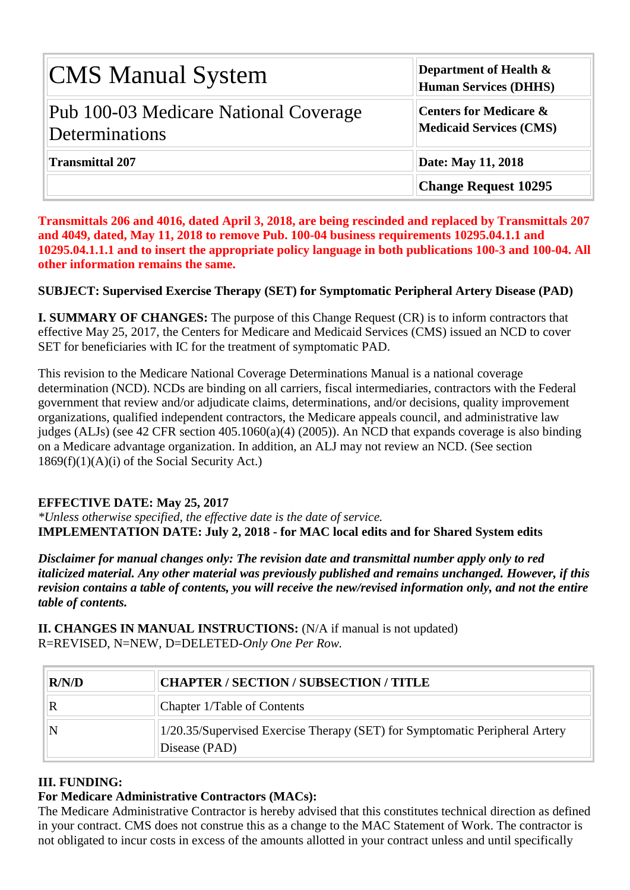| <b>CMS Manual System</b>                                | Department of Health $\&$<br><b>Human Services (DHHS)</b>           |  |  |  |  |  |
|---------------------------------------------------------|---------------------------------------------------------------------|--|--|--|--|--|
| Pub 100-03 Medicare National Coverage<br>Determinations | <b>Centers for Medicare &amp;</b><br><b>Medicaid Services (CMS)</b> |  |  |  |  |  |
| <b>Transmittal 207</b>                                  | Date: May 11, 2018                                                  |  |  |  |  |  |
|                                                         | <b>Change Request 10295</b>                                         |  |  |  |  |  |

**Transmittals 206 and 4016, dated April 3, 2018, are being rescinded and replaced by Transmittals 207 and 4049, dated, May 11, 2018 to remove Pub. 100-04 business requirements 10295.04.1.1 and 10295.04.1.1.1 and to insert the appropriate policy language in both publications 100-3 and 100-04. All other information remains the same.**

#### **SUBJECT: Supervised Exercise Therapy (SET) for Symptomatic Peripheral Artery Disease (PAD)**

**I. SUMMARY OF CHANGES:** The purpose of this Change Request (CR) is to inform contractors that effective May 25, 2017, the Centers for Medicare and Medicaid Services (CMS) issued an NCD to cover SET for beneficiaries with IC for the treatment of symptomatic PAD.

This revision to the Medicare National Coverage Determinations Manual is a national coverage determination (NCD). NCDs are binding on all carriers, fiscal intermediaries, contractors with the Federal government that review and/or adjudicate claims, determinations, and/or decisions, quality improvement organizations, qualified independent contractors, the Medicare appeals council, and administrative law judges (ALJs) (see 42 CFR section 405.1060(a)(4) (2005)). An NCD that expands coverage is also binding on a Medicare advantage organization. In addition, an ALJ may not review an NCD. (See section  $1869(f)(1)(A)(i)$  of the Social Security Act.)

#### **EFFECTIVE DATE: May 25, 2017**

*\*Unless otherwise specified, the effective date is the date of service.* **IMPLEMENTATION DATE: July 2, 2018 - for MAC local edits and for Shared System edits**

*Disclaimer for manual changes only: The revision date and transmittal number apply only to red italicized material. Any other material was previously published and remains unchanged. However, if this revision contains a table of contents, you will receive the new/revised information only, and not the entire table of contents.*

**II. CHANGES IN MANUAL INSTRUCTIONS:** (N/A if manual is not updated) R=REVISED, N=NEW, D=DELETED-*Only One Per Row.*

| R/N/D | CHAPTER / SECTION / SUBSECTION / TITLE                                                       |  |  |  |  |
|-------|----------------------------------------------------------------------------------------------|--|--|--|--|
|       | Chapter 1/Table of Contents                                                                  |  |  |  |  |
|       | 1/20.35/Supervised Exercise Therapy (SET) for Symptomatic Peripheral Artery<br>Disease (PAD) |  |  |  |  |

# **III. FUNDING:**

#### **For Medicare Administrative Contractors (MACs):**

The Medicare Administrative Contractor is hereby advised that this constitutes technical direction as defined in your contract. CMS does not construe this as a change to the MAC Statement of Work. The contractor is not obligated to incur costs in excess of the amounts allotted in your contract unless and until specifically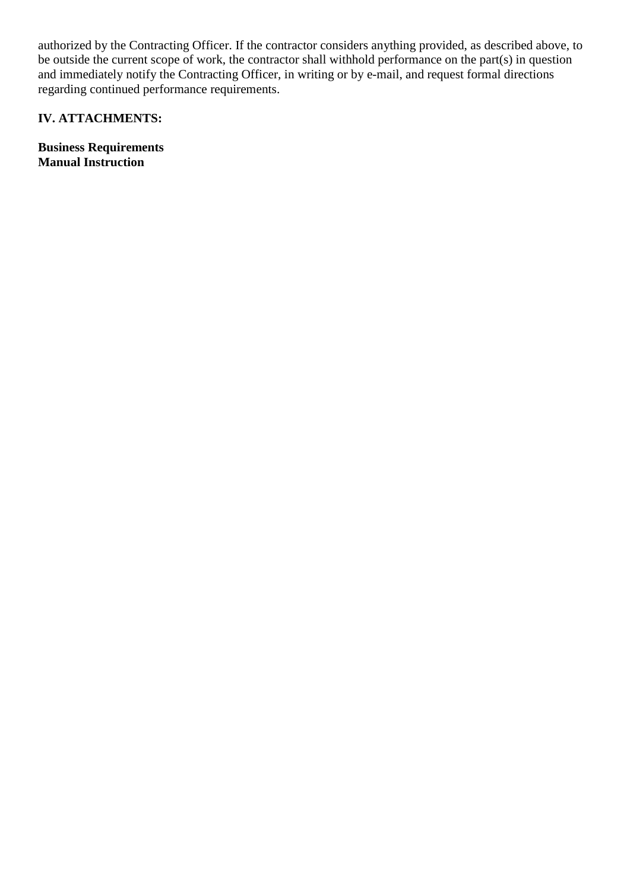authorized by the Contracting Officer. If the contractor considers anything provided, as described above, to be outside the current scope of work, the contractor shall withhold performance on the part(s) in question and immediately notify the Contracting Officer, in writing or by e-mail, and request formal directions regarding continued performance requirements.

# **IV. ATTACHMENTS:**

**Business Requirements Manual Instruction**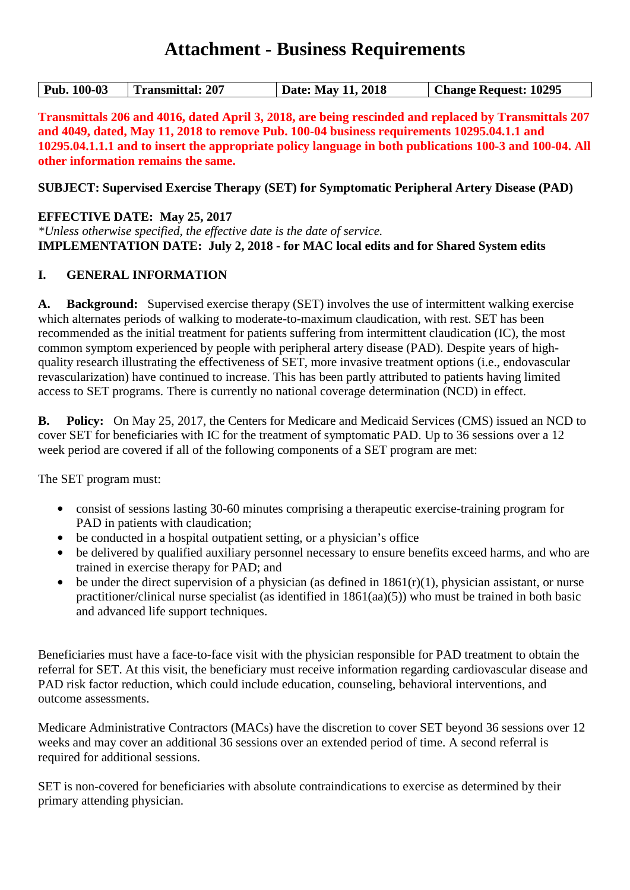# **Attachment - Business Requirements**

**Transmittals 206 and 4016, dated April 3, 2018, are being rescinded and replaced by Transmittals 207 and 4049, dated, May 11, 2018 to remove Pub. 100-04 business requirements 10295.04.1.1 and 10295.04.1.1.1 and to insert the appropriate policy language in both publications 100-3 and 100-04. All other information remains the same.**

**SUBJECT: Supervised Exercise Therapy (SET) for Symptomatic Peripheral Artery Disease (PAD)**

**EFFECTIVE DATE: May 25, 2017**

*\*Unless otherwise specified, the effective date is the date of service.* **IMPLEMENTATION DATE: July 2, 2018 - for MAC local edits and for Shared System edits**

#### **I. GENERAL INFORMATION**

**A. Background:** Supervised exercise therapy (SET) involves the use of intermittent walking exercise which alternates periods of walking to moderate-to-maximum claudication, with rest. SET has been recommended as the initial treatment for patients suffering from intermittent claudication (IC), the most common symptom experienced by people with peripheral artery disease (PAD). Despite years of highquality research illustrating the effectiveness of SET, more invasive treatment options (i.e., endovascular revascularization) have continued to increase. This has been partly attributed to patients having limited access to SET programs. There is currently no national coverage determination (NCD) in effect.

**B. Policy:** On May 25, 2017, the Centers for Medicare and Medicaid Services (CMS) issued an NCD to cover SET for beneficiaries with IC for the treatment of symptomatic PAD. Up to 36 sessions over a 12 week period are covered if all of the following components of a SET program are met:

The SET program must:

- consist of sessions lasting 30-60 minutes comprising a therapeutic exercise-training program for PAD in patients with claudication;
- be conducted in a hospital outpatient setting, or a physician's office
- be delivered by qualified auxiliary personnel necessary to ensure benefits exceed harms, and who are trained in exercise therapy for PAD; and
- be under the direct supervision of a physician (as defined in  $1861(r)(1)$ , physician assistant, or nurse practitioner/clinical nurse specialist (as identified in 1861(aa)(5)) who must be trained in both basic and advanced life support techniques.

Beneficiaries must have a face-to-face visit with the physician responsible for PAD treatment to obtain the referral for SET. At this visit, the beneficiary must receive information regarding cardiovascular disease and PAD risk factor reduction, which could include education, counseling, behavioral interventions, and outcome assessments.

Medicare Administrative Contractors (MACs) have the discretion to cover SET beyond 36 sessions over 12 weeks and may cover an additional 36 sessions over an extended period of time. A second referral is required for additional sessions.

SET is non-covered for beneficiaries with absolute contraindications to exercise as determined by their primary attending physician.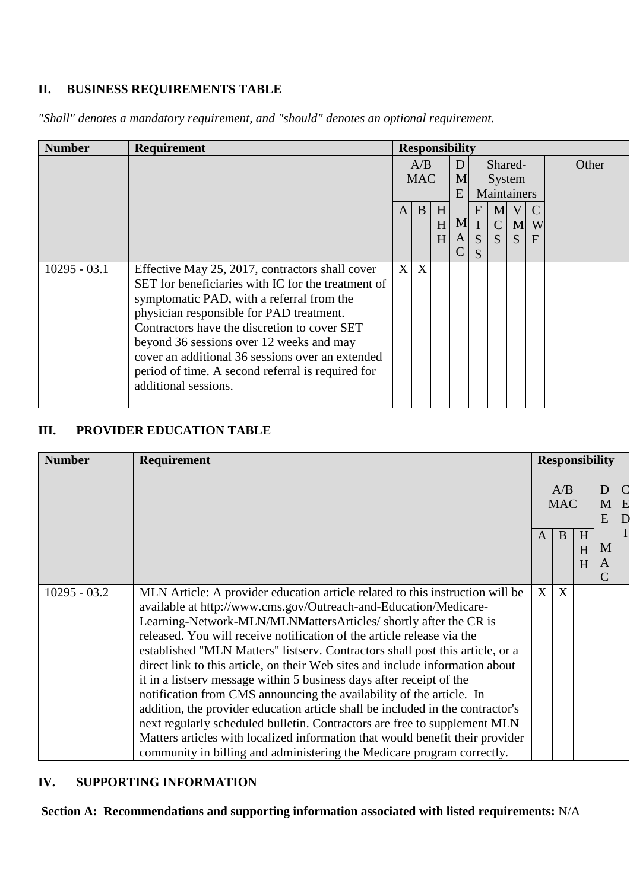# **II. BUSINESS REQUIREMENTS TABLE**

*"Shall" denotes a mandatory requirement, and "should" denotes an optional requirement.*

| <b>Number</b>  | <b>Requirement</b>                                 | <b>Responsibility</b> |            |   |                |              |              |              |              |  |  |  |  |
|----------------|----------------------------------------------------|-----------------------|------------|---|----------------|--------------|--------------|--------------|--------------|--|--|--|--|
|                |                                                    | A/B                   |            | D |                | Shared-      |              |              | Other        |  |  |  |  |
|                |                                                    |                       | <b>MAC</b> |   | M              |              | System       |              |              |  |  |  |  |
|                |                                                    |                       |            |   |                | E            |              |              | Maintainers  |  |  |  |  |
|                |                                                    | A                     | B          | H |                | $\mathbf{F}$ | M            | V            |              |  |  |  |  |
|                |                                                    |                       |            | H | M <sub>l</sub> | $\mathbf I$  | $\mathsf{C}$ | M            | W            |  |  |  |  |
|                |                                                    |                       |            | H | $\mathbf{A}$   | S            | <sub>S</sub> | <sub>S</sub> | $\mathbf{F}$ |  |  |  |  |
|                |                                                    |                       |            |   |                | S            |              |              |              |  |  |  |  |
| $10295 - 03.1$ | Effective May 25, 2017, contractors shall cover    | X                     | X          |   |                |              |              |              |              |  |  |  |  |
|                | SET for beneficiaries with IC for the treatment of |                       |            |   |                |              |              |              |              |  |  |  |  |
|                | symptomatic PAD, with a referral from the          |                       |            |   |                |              |              |              |              |  |  |  |  |
|                | physician responsible for PAD treatment.           |                       |            |   |                |              |              |              |              |  |  |  |  |
|                | Contractors have the discretion to cover SET       |                       |            |   |                |              |              |              |              |  |  |  |  |
|                | beyond 36 sessions over 12 weeks and may           |                       |            |   |                |              |              |              |              |  |  |  |  |
|                | cover an additional 36 sessions over an extended   |                       |            |   |                |              |              |              |              |  |  |  |  |
|                | period of time. A second referral is required for  |                       |            |   |                |              |              |              |              |  |  |  |  |
|                | additional sessions.                               |                       |            |   |                |              |              |              |              |  |  |  |  |
|                |                                                    |                       |            |   |                |              |              |              |              |  |  |  |  |

# **III. PROVIDER EDUCATION TABLE**

| <b>Number</b><br>Requirement |                                                                                                                                                                                                                                                                                                                                                                                                                                                                                                                                                                                                                                                                                                                                                                                                                                                                                                                                             | <b>Responsibility</b> |                   |             |        |                                                 |  |  |
|------------------------------|---------------------------------------------------------------------------------------------------------------------------------------------------------------------------------------------------------------------------------------------------------------------------------------------------------------------------------------------------------------------------------------------------------------------------------------------------------------------------------------------------------------------------------------------------------------------------------------------------------------------------------------------------------------------------------------------------------------------------------------------------------------------------------------------------------------------------------------------------------------------------------------------------------------------------------------------|-----------------------|-------------------|-------------|--------|-------------------------------------------------|--|--|
|                              |                                                                                                                                                                                                                                                                                                                                                                                                                                                                                                                                                                                                                                                                                                                                                                                                                                                                                                                                             |                       | A/B<br><b>MAC</b> |             |        | $\mathcal{C}$<br>D.<br>M <sub>l</sub><br>E<br>D |  |  |
|                              |                                                                                                                                                                                                                                                                                                                                                                                                                                                                                                                                                                                                                                                                                                                                                                                                                                                                                                                                             | $\mathbf{A}$          | B                 | H<br>H<br>H | M<br>A | T                                               |  |  |
| $10295 - 03.2$               | MLN Article: A provider education article related to this instruction will be<br>available at http://www.cms.gov/Outreach-and-Education/Medicare-<br>Learning-Network-MLN/MLNMattersArticles/ shortly after the CR is<br>released. You will receive notification of the article release via the<br>established "MLN Matters" listserv. Contractors shall post this article, or a<br>direct link to this article, on their Web sites and include information about<br>it in a listserv message within 5 business days after receipt of the<br>notification from CMS announcing the availability of the article. In<br>addition, the provider education article shall be included in the contractor's<br>next regularly scheduled bulletin. Contractors are free to supplement MLN<br>Matters articles with localized information that would benefit their provider<br>community in billing and administering the Medicare program correctly. |                       | X<br>X            |             |        |                                                 |  |  |

## **IV. SUPPORTING INFORMATION**

**Section A: Recommendations and supporting information associated with listed requirements:** N/A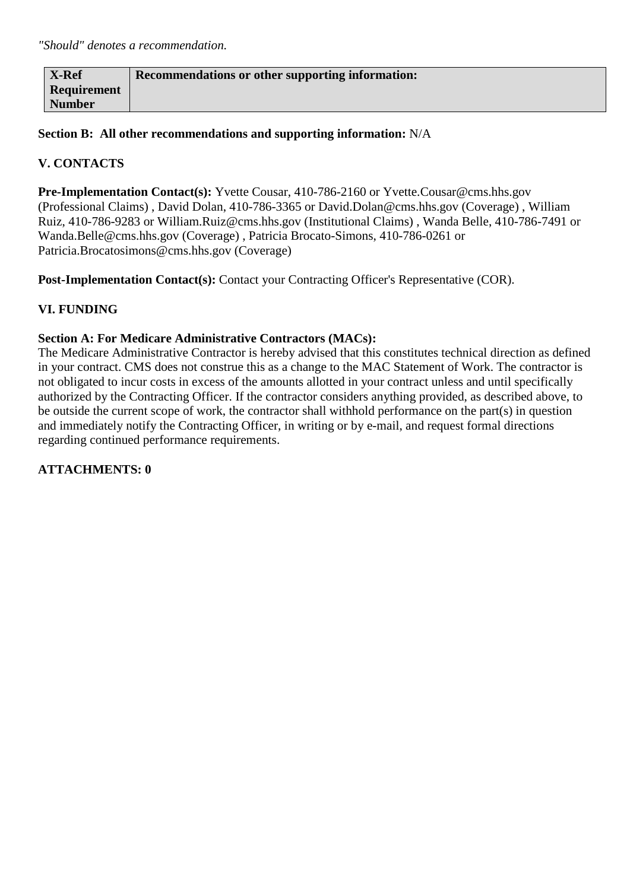| X-Ref              | Recommendations or other supporting information: |
|--------------------|--------------------------------------------------|
| <b>Requirement</b> |                                                  |
| <b>Number</b>      |                                                  |

**Section B: All other recommendations and supporting information:** N/A

# **V. CONTACTS**

**Pre-Implementation Contact(s):** Yvette Cousar, 410-786-2160 or Yvette.Cousar@cms.hhs.gov (Professional Claims) , David Dolan, 410-786-3365 or David.Dolan@cms.hhs.gov (Coverage) , William Ruiz, 410-786-9283 or William.Ruiz@cms.hhs.gov (Institutional Claims) , Wanda Belle, 410-786-7491 or Wanda.Belle@cms.hhs.gov (Coverage) , Patricia Brocato-Simons, 410-786-0261 or Patricia.Brocatosimons@cms.hhs.gov (Coverage)

Post-Implementation Contact(s): Contact your Contracting Officer's Representative (COR).

#### **VI. FUNDING**

#### **Section A: For Medicare Administrative Contractors (MACs):**

The Medicare Administrative Contractor is hereby advised that this constitutes technical direction as defined in your contract. CMS does not construe this as a change to the MAC Statement of Work. The contractor is not obligated to incur costs in excess of the amounts allotted in your contract unless and until specifically authorized by the Contracting Officer. If the contractor considers anything provided, as described above, to be outside the current scope of work, the contractor shall withhold performance on the part(s) in question and immediately notify the Contracting Officer, in writing or by e-mail, and request formal directions regarding continued performance requirements.

#### **ATTACHMENTS: 0**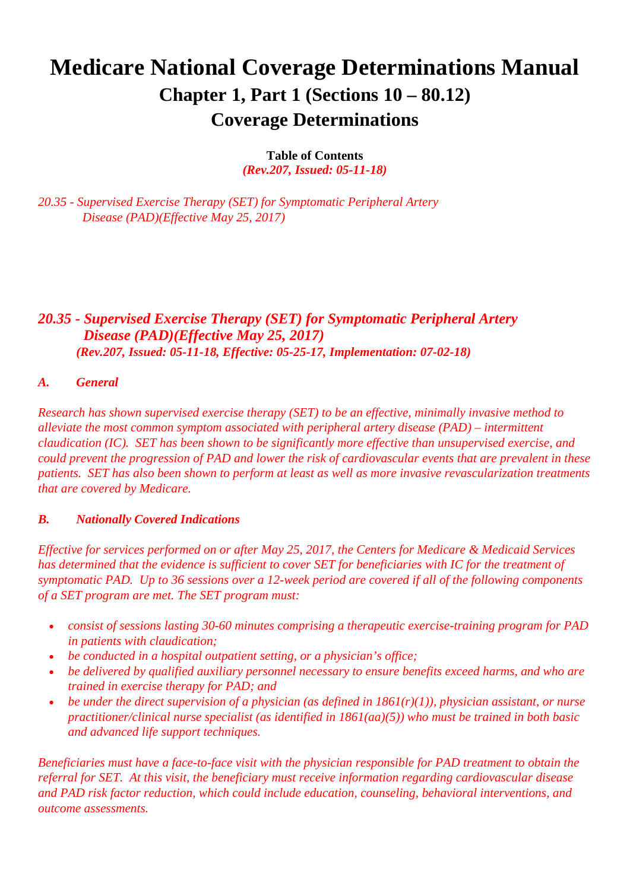# **Medicare National Coverage Determinations Manual Chapter 1, Part 1 (Sections 10 – 80.12) Coverage Determinations**

**Table of Contents**

*(Rev.207, Issued: 05-11-18)*

*20.35 - Supervised Exercise Therapy (SET) for Symptomatic Peripheral Artery Disease (PAD)(Effective May 25, 2017)*

# *20.35 - Supervised Exercise Therapy (SET) for Symptomatic Peripheral Artery Disease (PAD)(Effective May 25, 2017) (Rev.207, Issued: 05-11-18, Effective: 05-25-17, Implementation: 07-02-18)*

#### *A. General*

*Research has shown supervised exercise therapy (SET) to be an effective, minimally invasive method to alleviate the most common symptom associated with peripheral artery disease (PAD) – intermittent claudication (IC). SET has been shown to be significantly more effective than unsupervised exercise, and could prevent the progression of PAD and lower the risk of cardiovascular events that are prevalent in these patients. SET has also been shown to perform at least as well as more invasive revascularization treatments that are covered by Medicare.* 

#### *B. Nationally Covered Indications*

*Effective for services performed on or after May 25, 2017, the Centers for Medicare & Medicaid Services has determined that the evidence is sufficient to cover SET for beneficiaries with IC for the treatment of symptomatic PAD. Up to 36 sessions over a 12-week period are covered if all of the following components of a SET program are met. The SET program must:*

- *consist of sessions lasting 30-60 minutes comprising a therapeutic exercise-training program for PAD in patients with claudication;*
- *be conducted in a hospital outpatient setting, or a physician's office;*
- *be delivered by qualified auxiliary personnel necessary to ensure benefits exceed harms, and who are trained in exercise therapy for PAD; and*
- *be under the direct supervision of a physician (as defined in 1861(r)(1)), physician assistant, or nurse practitioner/clinical nurse specialist (as identified in 1861(aa)(5)) who must be trained in both basic and advanced life support techniques.*

*Beneficiaries must have a face-to-face visit with the physician responsible for PAD treatment to obtain the referral for SET. At this visit, the beneficiary must receive information regarding cardiovascular disease and PAD risk factor reduction, which could include education, counseling, behavioral interventions, and outcome assessments.*